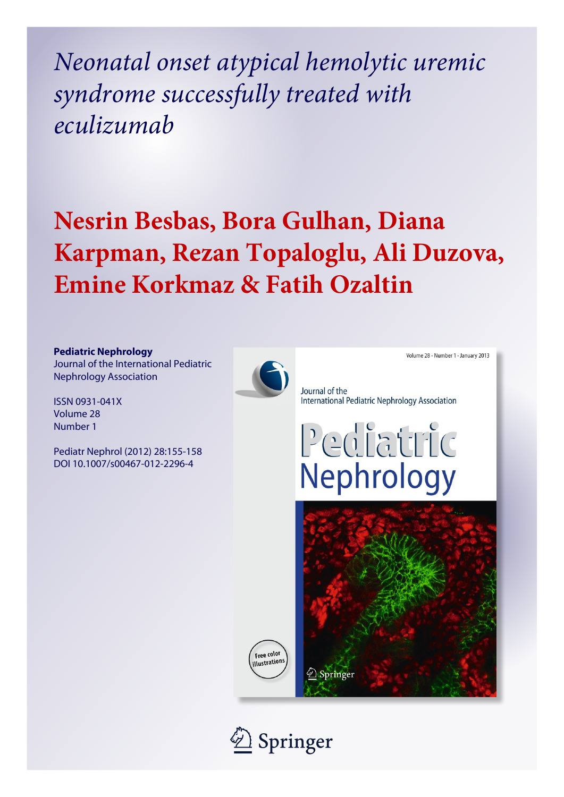*Neonatal onset atypical hemolytic uremic syndrome successfully treated with eculizumab*

# **Nesrin Besbas, Bora Gulhan, Diana Karpman, Rezan Topaloglu, Ali Duzova, Emine Korkmaz & Fatih Ozaltin**



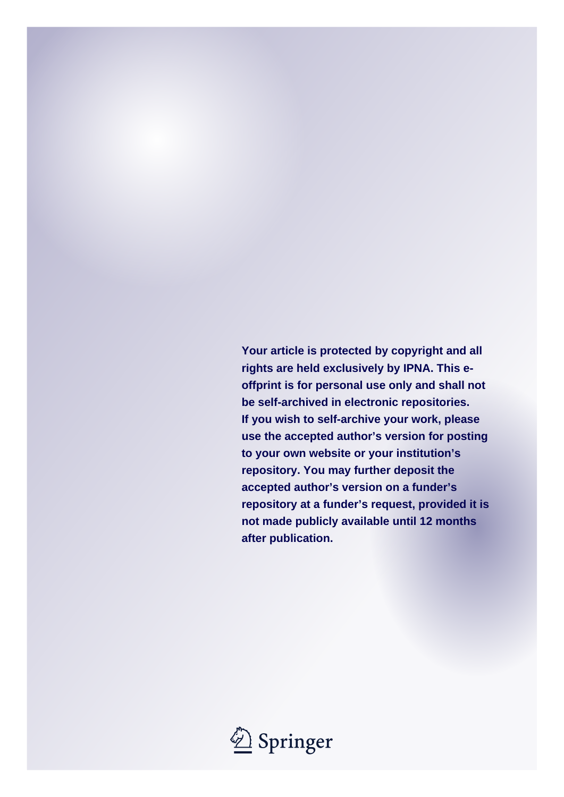**Your article is protected by copyright and all rights are held exclusively by IPNA. This eoffprint is for personal use only and shall not be self-archived in electronic repositories. If you wish to self-archive your work, please use the accepted author's version for posting to your own website or your institution's repository. You may further deposit the accepted author's version on a funder's repository at a funder's request, provided it is not made publicly available until 12 months after publication.**

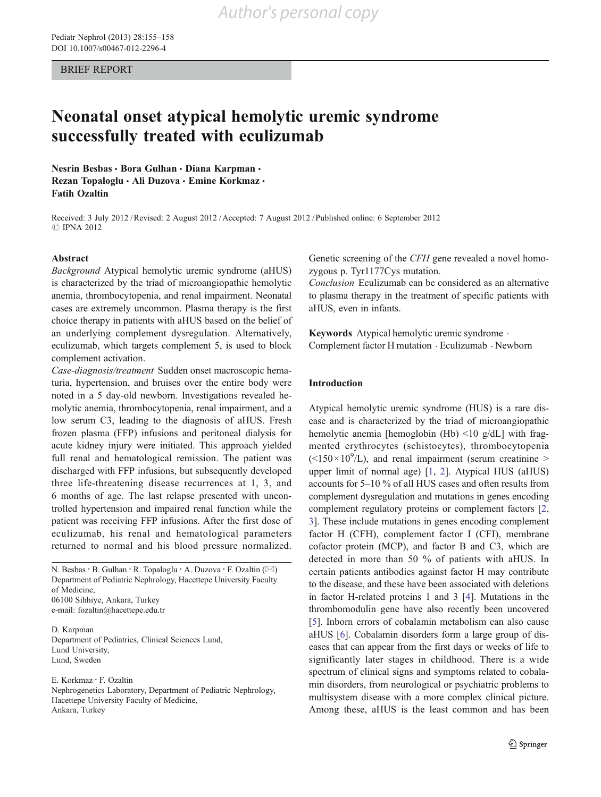BRIEF REPORT

# Neonatal onset atypical hemolytic uremic syndrome successfully treated with eculizumab

Nesrin Besbas · Bora Gulhan · Diana Karpman · Rezan Topaloglu · Ali Duzova · Emine Korkmaz · Fatih Ozaltin

Received: 3 July 2012 /Revised: 2 August 2012 /Accepted: 7 August 2012 / Published online: 6 September 2012 C IPNA 2012

#### Abstract

Background Atypical hemolytic uremic syndrome (aHUS) is characterized by the triad of microangiopathic hemolytic anemia, thrombocytopenia, and renal impairment. Neonatal cases are extremely uncommon. Plasma therapy is the first choice therapy in patients with aHUS based on the belief of an underlying complement dysregulation. Alternatively, eculizumab, which targets complement 5, is used to block complement activation.

Case-diagnosis/treatment Sudden onset macroscopic hematuria, hypertension, and bruises over the entire body were noted in a 5 day-old newborn. Investigations revealed hemolytic anemia, thrombocytopenia, renal impairment, and a low serum C3, leading to the diagnosis of aHUS. Fresh frozen plasma (FFP) infusions and peritoneal dialysis for acute kidney injury were initiated. This approach yielded full renal and hematological remission. The patient was discharged with FFP infusions, but subsequently developed three life-threatening disease recurrences at 1, 3, and 6 months of age. The last relapse presented with uncontrolled hypertension and impaired renal function while the patient was receiving FFP infusions. After the first dose of eculizumab, his renal and hematological parameters returned to normal and his blood pressure normalized.

N. Besbas · B. Gulhan · R. Topaloglu · A. Duzova · F. Ozaltin (⊠) Department of Pediatric Nephrology, Hacettepe University Faculty of Medicine, 06100 Sihhiye, Ankara, Turkey

e-mail: fozaltin@hacettepe.edu.tr

D. Karpman Department of Pediatrics, Clinical Sciences Lund, Lund University, Lund, Sweden

E. Korkmaz : F. Ozaltin

Nephrogenetics Laboratory, Department of Pediatric Nephrology, Hacettepe University Faculty of Medicine, Ankara, Turkey

Genetic screening of the CFH gene revealed a novel homozygous p. Tyr1177Cys mutation.

Conclusion Eculizumab can be considered as an alternative to plasma therapy in the treatment of specific patients with aHUS, even in infants.

Keywords Atypical hemolytic uremic syndrome . Complement factor H mutation . Eculizumab . Newborn

## Introduction

Atypical hemolytic uremic syndrome (HUS) is a rare disease and is characterized by the triad of microangiopathic hemolytic anemia [hemoglobin (Hb) <10 g/dL] with fragmented erythrocytes (schistocytes), thrombocytopenia  $(<150 \times 10^{9}/L$ ), and renal impairment (serum creatinine > upper limit of normal age) [[1,](#page-5-0) [2](#page-5-0)]. Atypical HUS (aHUS) accounts for 5–10 % of all HUS cases and often results from complement dysregulation and mutations in genes encoding complement regulatory proteins or complement factors [[2,](#page-5-0) [3](#page-5-0)]. These include mutations in genes encoding complement factor H (CFH), complement factor I (CFI), membrane cofactor protein (MCP), and factor B and C3, which are detected in more than 50 % of patients with aHUS. In certain patients antibodies against factor H may contribute to the disease, and these have been associated with deletions in factor H-related proteins 1 and 3 [[4\]](#page-5-0). Mutations in the thrombomodulin gene have also recently been uncovered [\[5](#page-5-0)]. Inborn errors of cobalamin metabolism can also cause aHUS [\[6](#page-5-0)]. Cobalamin disorders form a large group of diseases that can appear from the first days or weeks of life to significantly later stages in childhood. There is a wide spectrum of clinical signs and symptoms related to cobalamin disorders, from neurological or psychiatric problems to multisystem disease with a more complex clinical picture. Among these, aHUS is the least common and has been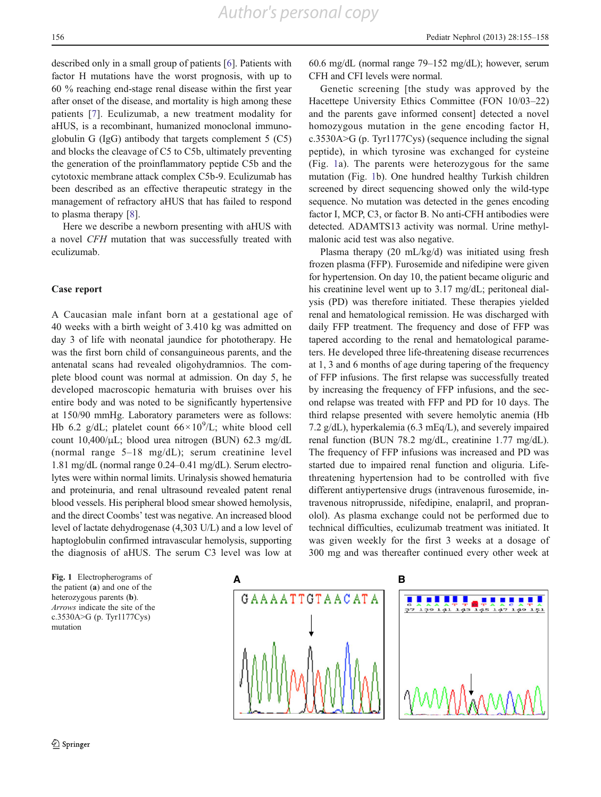described only in a small group of patients [[6\]](#page-5-0). Patients with factor H mutations have the worst prognosis, with up to 60 % reaching end-stage renal disease within the first year after onset of the disease, and mortality is high among these patients [[7](#page-5-0)]. Eculizumab, a new treatment modality for aHUS, is a recombinant, humanized monoclonal immunoglobulin G (IgG) antibody that targets complement 5 (C5) and blocks the cleavage of C5 to C5b, ultimately preventing the generation of the proinflammatory peptide C5b and the cytotoxic membrane attack complex C5b-9. Eculizumab has been described as an effective therapeutic strategy in the management of refractory aHUS that has failed to respond to plasma therapy [[8\]](#page-5-0).

Here we describe a newborn presenting with aHUS with a novel CFH mutation that was successfully treated with eculizumab.

# Case report

A Caucasian male infant born at a gestational age of 40 weeks with a birth weight of 3.410 kg was admitted on day 3 of life with neonatal jaundice for phototherapy. He was the first born child of consanguineous parents, and the antenatal scans had revealed oligohydramnios. The complete blood count was normal at admission. On day 5, he developed macroscopic hematuria with bruises over his entire body and was noted to be significantly hypertensive at 150/90 mmHg. Laboratory parameters were as follows: Hb 6.2 g/dL; platelet count  $66 \times 10^{9}$ /L; white blood cell count 10,400/μL; blood urea nitrogen (BUN) 62.3 mg/dL (normal range 5–18 mg/dL); serum creatinine level 1.81 mg/dL (normal range 0.24–0.41 mg/dL). Serum electrolytes were within normal limits. Urinalysis showed hematuria and proteinuria, and renal ultrasound revealed patent renal blood vessels. His peripheral blood smear showed hemolysis, and the direct Coombs' test was negative. An increased blood level of lactate dehydrogenase (4,303 U/L) and a low level of haptoglobulin confirmed intravascular hemolysis, supporting the diagnosis of aHUS. The serum C3 level was low at

the patient (a) and one of the heterozygous parents (b). Arrows indicate the site of the c.3530A>G (p. Tyr1177Cys) mutation

60.6 mg/dL (normal range 79–152 mg/dL); however, serum CFH and CFI levels were normal.

Genetic screening [the study was approved by the Hacettepe University Ethics Committee (FON 10/03–22) and the parents gave informed consent] detected a novel homozygous mutation in the gene encoding factor H, c.3530A>G (p. Tyr1177Cys) (sequence including the signal peptide), in which tyrosine was exchanged for cysteine (Fig. 1a). The parents were heterozygous for the same mutation (Fig. 1b). One hundred healthy Turkish children screened by direct sequencing showed only the wild-type sequence. No mutation was detected in the genes encoding factor I, MCP, C3, or factor B. No anti-CFH antibodies were detected. ADAMTS13 activity was normal. Urine methylmalonic acid test was also negative.

Plasma therapy (20 mL/kg/d) was initiated using fresh frozen plasma (FFP). Furosemide and nifedipine were given for hypertension. On day 10, the patient became oliguric and his creatinine level went up to 3.17 mg/dL; peritoneal dialysis (PD) was therefore initiated. These therapies yielded renal and hematological remission. He was discharged with daily FFP treatment. The frequency and dose of FFP was tapered according to the renal and hematological parameters. He developed three life-threatening disease recurrences at 1, 3 and 6 months of age during tapering of the frequency of FFP infusions. The first relapse was successfully treated by increasing the frequency of FFP infusions, and the second relapse was treated with FFP and PD for 10 days. The third relapse presented with severe hemolytic anemia (Hb 7.2 g/dL), hyperkalemia (6.3 mEq/L), and severely impaired renal function (BUN 78.2 mg/dL, creatinine 1.77 mg/dL). The frequency of FFP infusions was increased and PD was started due to impaired renal function and oliguria. Lifethreatening hypertension had to be controlled with five different antiypertensive drugs (intravenous furosemide, intravenous nitroprusside, nifedipine, enalapril, and propranolol). As plasma exchange could not be performed due to technical difficulties, eculizumab treatment was initiated. It was given weekly for the first 3 weeks at a dosage of 300 mg and was thereafter continued every other week at

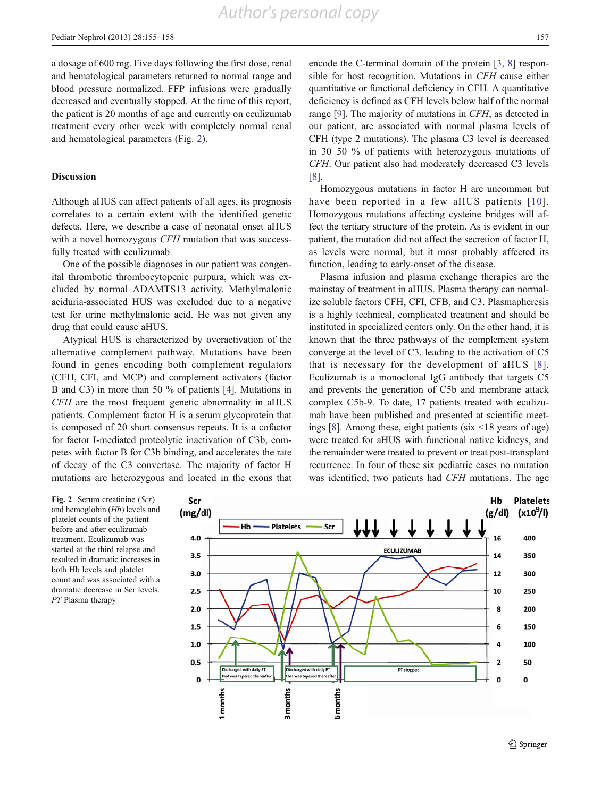*Author's personal copy*

a dosage of 600 mg. Five days following the first dose, renal and hematological parameters returned to normal range and blood pressure normalized. FFP infusions were gradually decreased and eventually stopped. At the time of this report, the patient is 20 months of age and currently on eculizumab treatment every other week with completely normal renal and hematological parameters (Fig. 2).

### Discussion

Although aHUS can affect patients of all ages, its prognosis correlates to a certain extent with the identified genetic defects. Here, we describe a case of neonatal onset aHUS with a novel homozygous *CFH* mutation that was successfully treated with eculizumab.

One of the possible diagnoses in our patient was congenital thrombotic thrombocytopenic purpura, which was excluded by normal ADAMTS13 activity. Methylmalonic aciduria-associated HUS was excluded due to a negative test for urine methylmalonic acid. He was not given any drug that could cause aHUS.

Atypical HUS is characterized by overactivation of the alternative complement pathway. Mutations have been found in genes encoding both complement regulators (CFH, CFI, and MCP) and complement activators (factor B and C3) in more than 50 % of patients [\[4](#page-5-0)]. Mutations in CFH are the most frequent genetic abnormality in aHUS patients. Complement factor H is a serum glycoprotein that is composed of 20 short consensus repeats. It is a cofactor for factor I-mediated proteolytic inactivation of C3b, competes with factor B for C3b binding, and accelerates the rate of decay of the C3 convertase. The majority of factor H mutations are heterozygous and located in the exons that encode the C-terminal domain of the protein [\[3](#page-5-0), [8](#page-5-0)] responsible for host recognition. Mutations in CFH cause either quantitative or functional deficiency in CFH. A quantitative deficiency is defined as CFH levels below half of the normal range [\[9](#page-5-0)]. The majority of mutations in CFH, as detected in our patient, are associated with normal plasma levels of CFH (type 2 mutations). The plasma C3 level is decreased in 30–50 % of patients with heterozygous mutations of CFH. Our patient also had moderately decreased C3 levels [\[8](#page-5-0)].

Homozygous mutations in factor H are uncommon but have been reported in a few aHUS patients [[10\]](#page-5-0). Homozygous mutations affecting cysteine bridges will affect the tertiary structure of the protein. As is evident in our patient, the mutation did not affect the secretion of factor H, as levels were normal, but it most probably affected its function, leading to early-onset of the disease.

Plasma infusion and plasma exchange therapies are the mainstay of treatment in aHUS. Plasma therapy can normalize soluble factors CFH, CFI, CFB, and C3. Plasmapheresis is a highly technical, complicated treatment and should be instituted in specialized centers only. On the other hand, it is known that the three pathways of the complement system converge at the level of C3, leading to the activation of C5 that is necessary for the development of aHUS [[8](#page-5-0)]. Eculizumab is a monoclonal IgG antibody that targets C5 and prevents the generation of C5b and membrane attack complex C5b-9. To date, 17 patients treated with eculizumab have been published and presented at scientific meetings [[8\]](#page-5-0). Among these, eight patients (six <18 years of age) were treated for aHUS with functional native kidneys, and the remainder were treated to prevent or treat post-transplant recurrence. In four of these six pediatric cases no mutation was identified; two patients had CFH mutations. The age

Fig. 2 Serum creatinine (Scr) and hemoglobin (Hb) levels and platelet counts of the patient before and after eculizumab treatment. Eculizumab was started at the third relapse and resulted in dramatic increases in both Hb levels and platelet count and was associated with a dramatic decrease in Scr levels. PT Plasma therapy